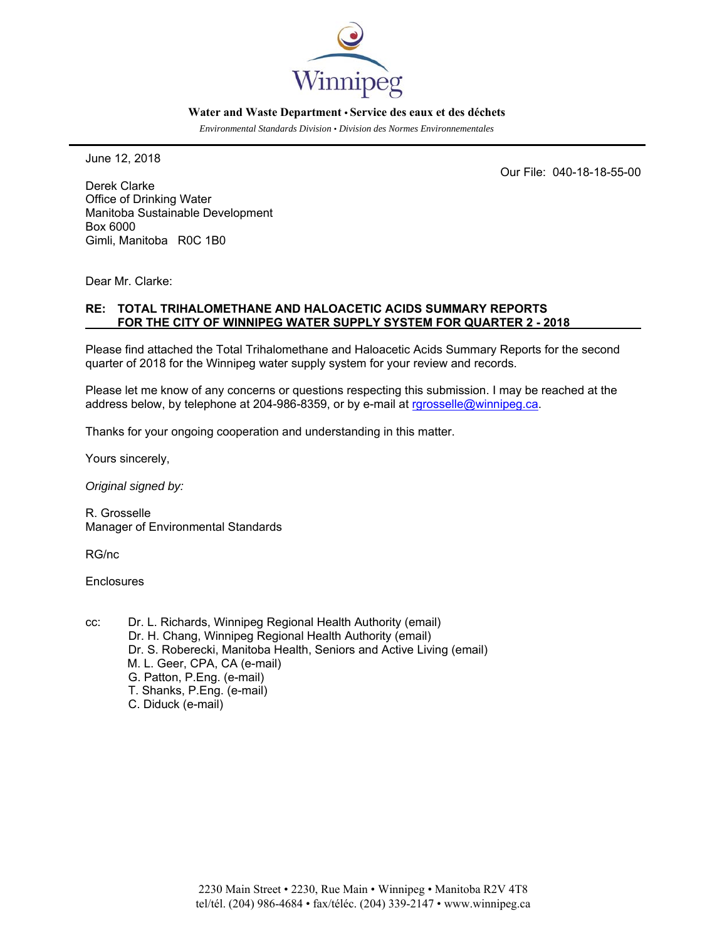

#### **Water and Waste Department • Service des eaux et des déchets**

*Environmental Standards Division • Division des Normes Environnementales* 

June 12, 2018

Our File: 040-18-18-55-00

Derek Clarke Office of Drinking Water Manitoba Sustainable Development Box 6000 Gimli, Manitoba R0C 1B0

Dear Mr. Clarke:

#### **RE: TOTAL TRIHALOMETHANE AND HALOACETIC ACIDS SUMMARY REPORTS FOR THE CITY OF WINNIPEG WATER SUPPLY SYSTEM FOR QUARTER 2 - 2018**

Please find attached the Total Trihalomethane and Haloacetic Acids Summary Reports for the second quarter of 2018 for the Winnipeg water supply system for your review and records.

Please let me know of any concerns or questions respecting this submission. I may be reached at the address below, by telephone at 204-986-8359, or by e-mail at rgrosselle@winnipeg.ca.

Thanks for your ongoing cooperation and understanding in this matter.

Yours sincerely,

*Original signed by:* 

R. Grosselle Manager of Environmental Standards

RG/nc

**Enclosures** 

cc: Dr. L. Richards, Winnipeg Regional Health Authority (email) Dr. H. Chang, Winnipeg Regional Health Authority (email) Dr. S. Roberecki, Manitoba Health, Seniors and Active Living (email) M. L. Geer, CPA, CA (e-mail) G. Patton, P.Eng. (e-mail) T. Shanks, P.Eng. (e-mail) C. Diduck (e-mail)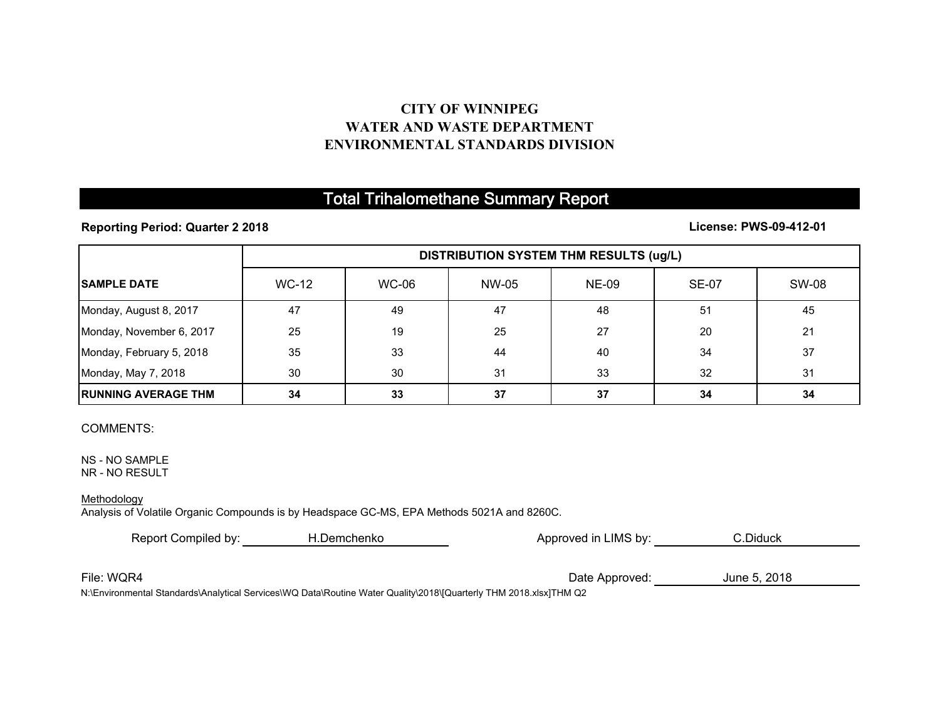## **CITY OF WINNIPEG WATER AND WASTE DEPARTMENTENVIRONMENTAL STANDARDS DIVISION**

# Total Trihalomethane Summary Report

### **Reporting Period: Quarter 2 2018**

### **License: PWS-09-412-01**

|                             | <b>DISTRIBUTION SYSTEM THM RESULTS (ug/L)</b> |       |       |              |              |       |
|-----------------------------|-----------------------------------------------|-------|-------|--------------|--------------|-------|
| <b>SAMPLE DATE</b>          | WC-12                                         | WC-06 | NW-05 | <b>NE-09</b> | <b>SE-07</b> | SW-08 |
| Monday, August 8, 2017      | 47                                            | 49    | 47    | 48           | 51           | 45    |
| Monday, November 6, 2017    | 25                                            | 19    | 25    | 27           | 20           | 21    |
| Monday, February 5, 2018    | 35                                            | 33    | 44    | 40           | 34           | 37    |
| Monday, May 7, 2018         | 30                                            | 30    | 31    | 33           | 32           | 31    |
| <b>IRUNNING AVERAGE THM</b> | 34                                            | 33    | 37    | 37           | 34           | 34    |

#### COMMENTS:

NS - NO SAMPLENR - NO RESULT

#### **Methodology**

Analysis of Volatile Organic Compounds is by Headspace GC-MS, EPA Methods 5021A and 8260C.

| Report Compiled by:<br>H.Demchenko |  | Approved in LIMS by: | C.Diduck     |  |
|------------------------------------|--|----------------------|--------------|--|
|                                    |  |                      |              |  |
| File: WQR4                         |  | Date Approved:       | June 5, 2018 |  |

N:\Environmental Standards\Analytical Services\WQ Data\Routine Water Quality\2018\[Quarterly THM 2018.xlsx]THM Q2